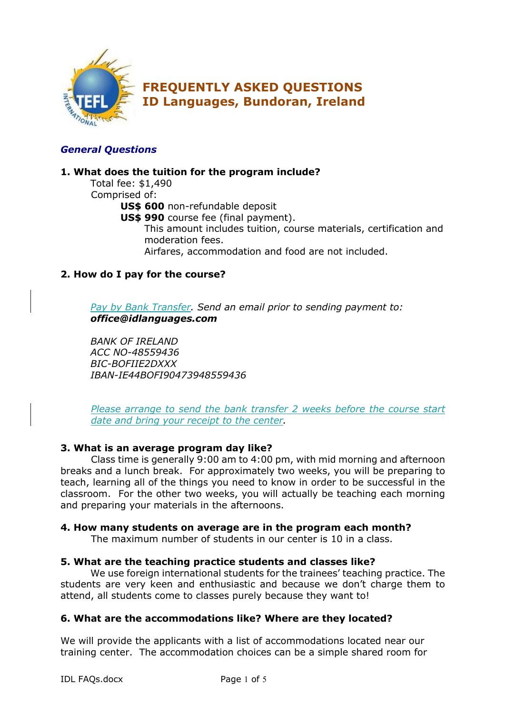

## *General Questions*

## **1. What does the tuition for the program include?**

Total fee: \$1,490 Comprised of: **US\$ 600** non-refundable deposit **US\$ 990** course fee (final payment). This amount includes tuition, course materials, certification and moderation fees. Airfares, accommodation and food are not included.

## **2. How do I pay for the course?**

*Pay by Bank Transfer. Send an email prior to sending payment to: office@idlanguages.com*

*BANK OF IRELAND ACC NO-48559436 BIC-BOFIIE2DXXX IBAN-IE44BOFI90473948559436*

*Please arrange to send the bank transfer 2 weeks before the course start date and bring your receipt to the center.*

## **3. What is an average program day like?**

Class time is generally 9:00 am to 4:00 pm, with mid morning and afternoon breaks and a lunch break. For approximately two weeks, you will be preparing to teach, learning all of the things you need to know in order to be successful in the classroom. For the other two weeks, you will actually be teaching each morning and preparing your materials in the afternoons.

#### **4. How many students on average are in the program each month?**

The maximum number of students in our center is 10 in a class.

## **5. What are the teaching practice students and classes like?**

We use foreign international students for the trainees' teaching practice. The students are very keen and enthusiastic and because we don't charge them to attend, all students come to classes purely because they want to!

## **6. What are the accommodations like? Where are they located?**

We will provide the applicants with a list of accommodations located near our training center. The accommodation choices can be a simple shared room for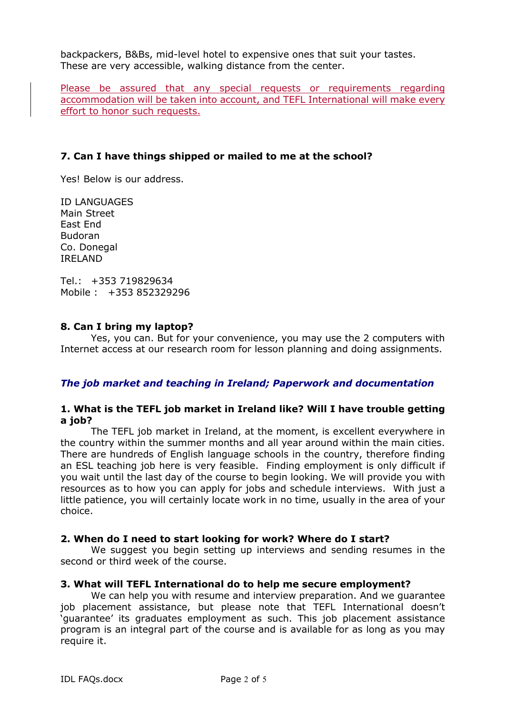backpackers, B&Bs, mid-level hotel to expensive ones that suit your tastes. These are very accessible, walking distance from the center.

Please be assured that any special requests or requirements regarding accommodation will be taken into account, and TEFL International will make every effort to honor such requests.

### **7. Can I have things shipped or mailed to me at the school?**

Yes! Below is our address.

ID LANGUAGES Main Street East End Budoran Co. Donegal IRELAND

Tel.: +353 719829634 Mobile : +353 852329296

#### **8. Can I bring my laptop?**

Yes, you can. But for your convenience, you may use the 2 computers with Internet access at our research room for lesson planning and doing assignments.

#### *The job market and teaching in Ireland; Paperwork and documentation*

#### **1. What is the TEFL job market in Ireland like? Will I have trouble getting a job?**

The TEFL job market in Ireland, at the moment, is excellent everywhere in the country within the summer months and all year around within the main cities. There are hundreds of English language schools in the country, therefore finding an ESL teaching job here is very feasible. Finding employment is only difficult if you wait until the last day of the course to begin looking. We will provide you with resources as to how you can apply for jobs and schedule interviews. With just a little patience, you will certainly locate work in no time, usually in the area of your choice.

#### **2. When do I need to start looking for work? Where do I start?**

We suggest you begin setting up interviews and sending resumes in the second or third week of the course.

#### **3. What will TEFL International do to help me secure employment?**

We can help you with resume and interview preparation. And we guarantee job placement assistance, but please note that TEFL International doesn't 'guarantee' its graduates employment as such. This job placement assistance program is an integral part of the course and is available for as long as you may require it.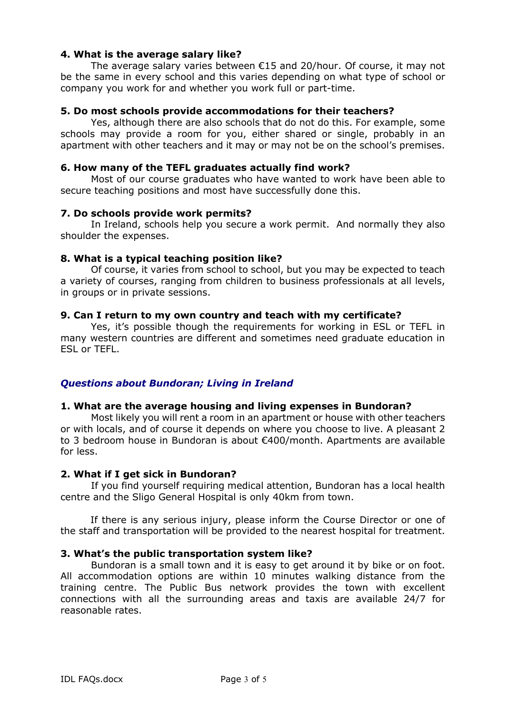#### **4. What is the average salary like?**

The average salary varies between €15 and 20/hour. Of course, it may not be the same in every school and this varies depending on what type of school or company you work for and whether you work full or part-time.

#### **5. Do most schools provide accommodations for their teachers?**

Yes, although there are also schools that do not do this. For example, some schools may provide a room for you, either shared or single, probably in an apartment with other teachers and it may or may not be on the school's premises.

#### **6. How many of the TEFL graduates actually find work?**

Most of our course graduates who have wanted to work have been able to secure teaching positions and most have successfully done this.

#### **7. Do schools provide work permits?**

In Ireland, schools help you secure a work permit. And normally they also shoulder the expenses.

#### **8. What is a typical teaching position like?**

Of course, it varies from school to school, but you may be expected to teach a variety of courses, ranging from children to business professionals at all levels, in groups or in private sessions.

#### **9. Can I return to my own country and teach with my certificate?**

Yes, it's possible though the requirements for working in ESL or TEFL in many western countries are different and sometimes need graduate education in ESL or TEFL.

#### *Questions about Bundoran; Living in Ireland*

#### **1. What are the average housing and living expenses in Bundoran?**

Most likely you will rent a room in an apartment or house with other teachers or with locals, and of course it depends on where you choose to live. A pleasant 2 to 3 bedroom house in Bundoran is about €400/month. Apartments are available for less.

#### **2. What if I get sick in Bundoran?**

If you find yourself requiring medical attention, Bundoran has a local health centre and the Sligo General Hospital is only 40km from town.

If there is any serious injury, please inform the Course Director or one of the staff and transportation will be provided to the nearest hospital for treatment.

#### **3. What's the public transportation system like?**

Bundoran is a small town and it is easy to get around it by bike or on foot. All accommodation options are within 10 minutes walking distance from the training centre. The Public Bus network provides the town with excellent connections with all the surrounding areas and taxis are available 24/7 for reasonable rates.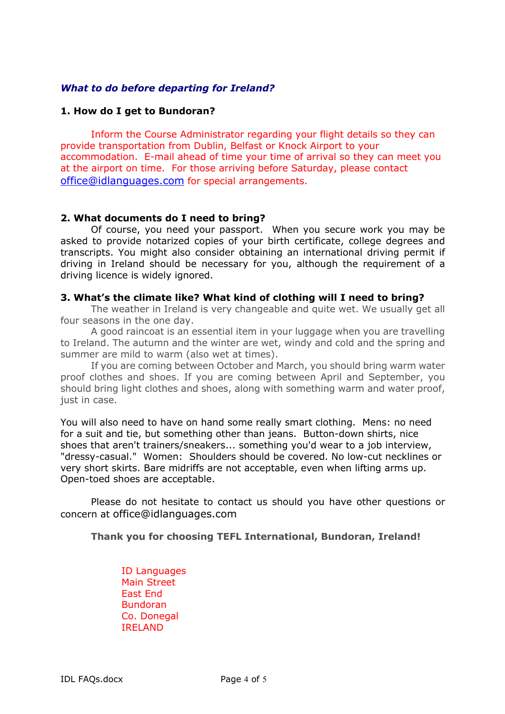#### *What to do before departing for Ireland?*

#### **1. How do I get to Bundoran?**

Inform the Course Administrator regarding your flight details so they can provide transportation from Dublin, Belfast or Knock Airport to your accommodation. E-mail ahead of time your time of arrival so they can meet you at the airport on time. For those arriving before Saturday, please contact office@idlanguages.com for special arrangements.

#### **2. What documents do I need to bring?**

Of course, you need your passport. When you secure work you may be asked to provide notarized copies of your birth certificate, college degrees and transcripts. You might also consider obtaining an international driving permit if driving in Ireland should be necessary for you, although the requirement of a driving licence is widely ignored.

#### **3. What's the climate like? What kind of clothing will I need to bring?**

The weather in Ireland is very changeable and quite wet. We usually get all four seasons in the one day.

A good raincoat is an essential item in your luggage when you are travelling to Ireland. The autumn and the winter are wet, windy and cold and the spring and summer are mild to warm (also wet at times).

If you are coming between October and March, you should bring warm water proof clothes and shoes. If you are coming between April and September, you should bring light clothes and shoes, along with something warm and water proof, just in case.

You will also need to have on hand some really smart clothing. Mens: no need for a suit and tie, but something other than jeans. Button-down shirts, nice shoes that aren't trainers/sneakers... something you'd wear to a job interview, "dressy-casual." Women: Shoulders should be covered. No low-cut necklines or very short skirts. Bare midriffs are not acceptable, even when lifting arms up. Open-toed shoes are acceptable.

Please do not hesitate to contact us should you have other questions or concern at office@idlanguages.com

#### **Thank you for choosing TEFL International, Bundoran, Ireland!**

ID Languages Main Street East End Bundoran Co. Donegal IRELAND